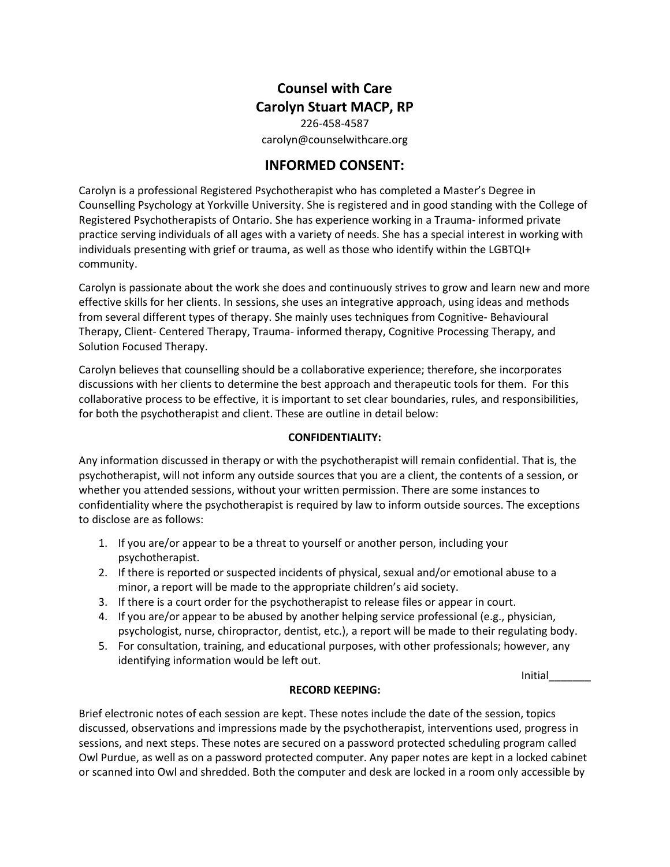# **Counsel with Care Carolyn Stuart MACP, RP**

226-458-4587 carolyn@counselwithcare.org

# **INFORMED CONSENT:**

Carolyn is a professional Registered Psychotherapist who has completed a Master's Degree in Counselling Psychology at Yorkville University. She is registered and in good standing with the College of Registered Psychotherapists of Ontario. She has experience working in a Trauma- informed private practice serving individuals of all ages with a variety of needs. She has a special interest in working with individuals presenting with grief or trauma, as well as those who identify within the LGBTQI+ community.

Carolyn is passionate about the work she does and continuously strives to grow and learn new and more effective skills for her clients. In sessions, she uses an integrative approach, using ideas and methods from several different types of therapy. She mainly uses techniques from Cognitive- Behavioural Therapy, Client- Centered Therapy, Trauma- informed therapy, Cognitive Processing Therapy, and Solution Focused Therapy.

Carolyn believes that counselling should be a collaborative experience; therefore, she incorporates discussions with her clients to determine the best approach and therapeutic tools for them. For this collaborative process to be effective, it is important to set clear boundaries, rules, and responsibilities, for both the psychotherapist and client. These are outline in detail below:

# **CONFIDENTIALITY:**

Any information discussed in therapy or with the psychotherapist will remain confidential. That is, the psychotherapist, will not inform any outside sources that you are a client, the contents of a session, or whether you attended sessions, without your written permission. There are some instances to confidentiality where the psychotherapist is required by law to inform outside sources. The exceptions to disclose are as follows:

- 1. If you are/or appear to be a threat to yourself or another person, including your psychotherapist.
- 2. If there is reported or suspected incidents of physical, sexual and/or emotional abuse to a minor, a report will be made to the appropriate children's aid society.
- 3. If there is a court order for the psychotherapist to release files or appear in court.
- 4. If you are/or appear to be abused by another helping service professional (e.g., physician, psychologist, nurse, chiropractor, dentist, etc.), a report will be made to their regulating body.
- 5. For consultation, training, and educational purposes, with other professionals; however, any identifying information would be left out.

Initial\_\_\_\_\_\_\_

# **RECORD KEEPING:**

Brief electronic notes of each session are kept. These notes include the date of the session, topics discussed, observations and impressions made by the psychotherapist, interventions used, progress in sessions, and next steps. These notes are secured on a password protected scheduling program called Owl Purdue, as well as on a password protected computer. Any paper notes are kept in a locked cabinet or scanned into Owl and shredded. Both the computer and desk are locked in a room only accessible by